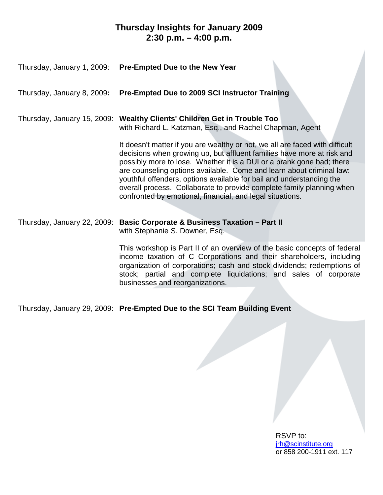# **Thursday Insights for January 2009 2:30 p.m. – 4:00 p.m.**

|                            | Thursday, January 1, 2009: Pre-Empted Due to the New Year                                                                                                                                                                                                                                                                                                                                                                                                                                                                                                                                                                                                     |
|----------------------------|---------------------------------------------------------------------------------------------------------------------------------------------------------------------------------------------------------------------------------------------------------------------------------------------------------------------------------------------------------------------------------------------------------------------------------------------------------------------------------------------------------------------------------------------------------------------------------------------------------------------------------------------------------------|
| Thursday, January 8, 2009: | Pre-Empted Due to 2009 SCI Instructor Training                                                                                                                                                                                                                                                                                                                                                                                                                                                                                                                                                                                                                |
|                            | Thursday, January 15, 2009: Wealthy Clients' Children Get in Trouble Too<br>with Richard L. Katzman, Esq., and Rachel Chapman, Agent<br>It doesn't matter if you are wealthy or not, we all are faced with difficult<br>decisions when growing up, but affluent families have more at risk and<br>possibly more to lose. Whether it is a DUI or a prank gone bad; there<br>are counseling options available. Come and learn about criminal law:<br>youthful offenders, options available for bail and understanding the<br>overall process. Collaborate to provide complete family planning when<br>confronted by emotional, financial, and legal situations. |
|                            | Thursday, January 22, 2009: Basic Corporate & Business Taxation - Part II<br>with Stephanie S. Downer, Esq.<br>This workshop is Part II of an overview of the basic concepts of federal<br>income taxation of C Corporations and their shareholders, including<br>organization of corporations; cash and stock dividends; redemptions of<br>stock; partial and complete liquidations; and sales of corporate<br>businesses and reorganizations.                                                                                                                                                                                                               |
|                            | Thursday, January 29, 2009: Pre-Empted Due to the SCI Team Building Event                                                                                                                                                                                                                                                                                                                                                                                                                                                                                                                                                                                     |

RSVP to: jrh@scinstitute.org or 858 200-1911 ext. 117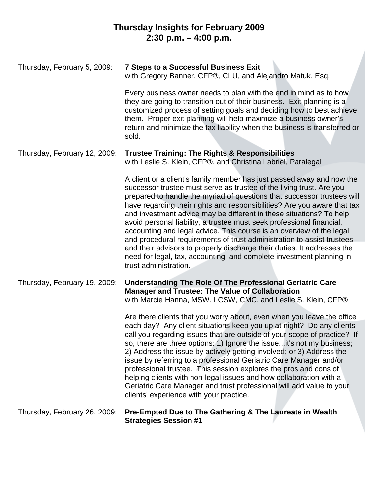## **Thursday Insights for February 2009 2:30 p.m. – 4:00 p.m.**

| Thursday, February 5, 2009:  | <b>7 Steps to a Successful Business Exit</b><br>with Gregory Banner, CFP®, CLU, and Alejandro Matuk, Esq.                                                                                                                                                                                                                                                                                                                                                                                                                                                                                                                                                                                                                                                                          |
|------------------------------|------------------------------------------------------------------------------------------------------------------------------------------------------------------------------------------------------------------------------------------------------------------------------------------------------------------------------------------------------------------------------------------------------------------------------------------------------------------------------------------------------------------------------------------------------------------------------------------------------------------------------------------------------------------------------------------------------------------------------------------------------------------------------------|
|                              | Every business owner needs to plan with the end in mind as to how<br>they are going to transition out of their business. Exit planning is a<br>customized process of setting goals and deciding how to best achieve<br>them. Proper exit planning will help maximize a business owner's<br>return and minimize the tax liability when the business is transferred or<br>sold.                                                                                                                                                                                                                                                                                                                                                                                                      |
| Thursday, February 12, 2009: | <b>Trustee Training: The Rights &amp; Responsibilities</b><br>with Leslie S. Klein, CFP®, and Christina Labriel, Paralegal                                                                                                                                                                                                                                                                                                                                                                                                                                                                                                                                                                                                                                                         |
|                              | A client or a client's family member has just passed away and now the<br>successor trustee must serve as trustee of the living trust. Are you<br>prepared to handle the myriad of questions that successor trustees will<br>have regarding their rights and responsibilities? Are you aware that tax<br>and investment advice may be different in these situations? To help<br>avoid personal liability, a trustee must seek professional financial,<br>accounting and legal advice. This course is an overview of the legal<br>and procedural requirements of trust administration to assist trustees<br>and their advisors to properly discharge their duties. It addresses the<br>need for legal, tax, accounting, and complete investment planning in<br>trust administration. |
| Thursday, February 19, 2009: | Understanding The Role Of The Professional Geriatric Care<br><b>Manager and Trustee: The Value of Collaboration</b><br>with Marcie Hanna, MSW, LCSW, CMC, and Leslie S. Klein, CFP®                                                                                                                                                                                                                                                                                                                                                                                                                                                                                                                                                                                                |
|                              | Are there clients that you worry about, even when you leave the office<br>each day? Any client situations keep you up at night? Do any clients<br>call you regarding issues that are outside of your scope of practice? If<br>so, there are three options: 1) Ignore the issueit's not my business;<br>2) Address the issue by actively getting involved; or 3) Address the<br>issue by referring to a professional Geriatric Care Manager and/or<br>professional trustee. This session explores the pros and cons of<br>helping clients with non-legal issues and how collaboration with a<br>Geriatric Care Manager and trust professional will add value to your<br>clients' experience with your practice.                                                                     |
| Thursday, February 26, 2009: | Pre-Empted Due to The Gathering & The Laureate in Wealth<br><b>Strategies Session #1</b>                                                                                                                                                                                                                                                                                                                                                                                                                                                                                                                                                                                                                                                                                           |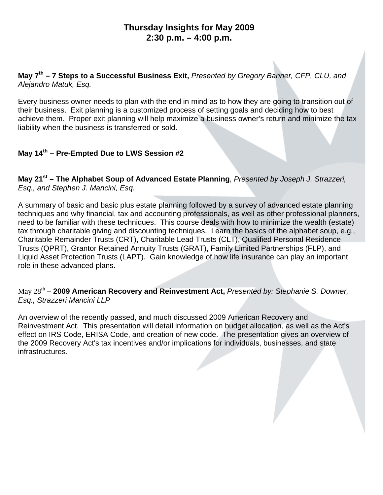### **Thursday Insights for May 2009 2:30 p.m. – 4:00 p.m.**

**May 7th – 7 Steps to a Successful Business Exit,** *Presented by Gregory Banner, CFP, CLU, and Alejandro Matuk, Esq.*

Every business owner needs to plan with the end in mind as to how they are going to transition out of their business. Exit planning is a customized process of setting goals and deciding how to best achieve them. Proper exit planning will help maximize a business owner's return and minimize the tax liability when the business is transferred or sold.

# **May 14th – Pre-Empted Due to LWS Session #2**

**May 21st – The Alphabet Soup of Advanced Estate Planning**, *Presented by Joseph J. Strazzeri, Esq., and Stephen J. Mancini, Esq.*

A summary of basic and basic plus estate planning followed by a survey of advanced estate planning techniques and why financial, tax and accounting professionals, as well as other professional planners, need to be familiar with these techniques. This course deals with how to minimize the wealth (estate) tax through charitable giving and discounting techniques. Learn the basics of the alphabet soup, e.g., Charitable Remainder Trusts (CRT), Charitable Lead Trusts (CLT), Qualified Personal Residence Trusts (QPRT), Grantor Retained Annuity Trusts (GRAT), Family Limited Partnerships (FLP), and Liquid Asset Protection Trusts (LAPT). Gain knowledge of how life insurance can play an important role in these advanced plans.

May 28th – **2009 American Recovery and Reinvestment Act,** *Presented by: Stephanie S. Downer, Esq., Strazzeri Mancini LLP*

An overview of the recently passed, and much discussed 2009 American Recovery and Reinvestment Act. This presentation will detail information on budget allocation, as well as the Act's effect on IRS Code, ERISA Code, and creation of new code. The presentation gives an overview of the 2009 Recovery Act's tax incentives and/or implications for individuals, businesses, and state infrastructures.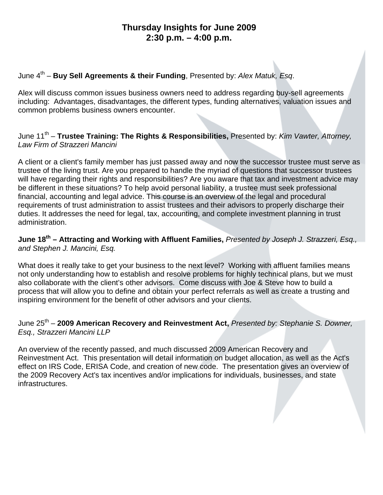## **Thursday Insights for June 2009 2:30 p.m. – 4:00 p.m.**

#### June 4th – **Buy Sell Agreements & their Funding**, Presented by: *Alex Matuk, Esq*.

Alex will discuss common issues business owners need to address regarding buy-sell agreements including: Advantages, disadvantages, the different types, funding alternatives, valuation issues and common problems business owners encounter.

June 11<sup>th</sup> – **Trustee Training: The Rights & Responsibilities,** Presented by: *Kim Vawter, Attorney, Law Firm of Strazzeri Mancini*

A client or a client's family member has just passed away and now the successor trustee must serve as trustee of the living trust. Are you prepared to handle the myriad of questions that successor trustees will have regarding their rights and responsibilities? Are you aware that tax and investment advice may be different in these situations? To help avoid personal liability, a trustee must seek professional financial, accounting and legal advice. This course is an overview of the legal and procedural requirements of trust administration to assist trustees and their advisors to properly discharge their duties. It addresses the need for legal, tax, accounting, and complete investment planning in trust administration.

#### **June 18th – Attracting and Working with Affluent Families,** *Presented by Joseph J. Strazzeri, Esq., and Stephen J. Mancini, Esq.*

What does it really take to get your business to the next level? Working with affluent families means not only understanding how to establish and resolve problems for highly technical plans, but we must also collaborate with the client's other advisors. Come discuss with Joe & Steve how to build a process that will allow you to define and obtain your perfect referrals as well as create a trusting and inspiring environment for the benefit of other advisors and your clients.

#### June 25th – **2009 American Recovery and Reinvestment Act,** *Presented by: Stephanie S. Downer, Esq., Strazzeri Mancini LLP*

An overview of the recently passed, and much discussed 2009 American Recovery and Reinvestment Act. This presentation will detail information on budget allocation, as well as the Act's effect on IRS Code, ERISA Code, and creation of new code. The presentation gives an overview of the 2009 Recovery Act's tax incentives and/or implications for individuals, businesses, and state infrastructures.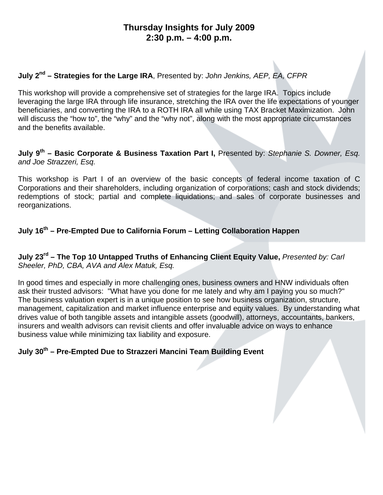## **Thursday Insights for July 2009 2:30 p.m. – 4:00 p.m.**

### **July 2nd – Strategies for the Large IRA**, Presented by: *John Jenkins, AEP, EA, CFPR*

This workshop will provide a comprehensive set of strategies for the large IRA. Topics include leveraging the large IRA through life insurance, stretching the IRA over the life expectations of younger beneficiaries, and converting the IRA to a ROTH IRA all while using TAX Bracket Maximization. John will discuss the "how to", the "why" and the "why not", along with the most appropriate circumstances and the benefits available.

**July 9th – Basic Corporate & Business Taxation Part I,** Presented by: *Stephanie S. Downer, Esq. and Joe Strazzeri, Esq.*

This workshop is Part I of an overview of the basic concepts of federal income taxation of C Corporations and their shareholders, including organization of corporations; cash and stock dividends; redemptions of stock; partial and complete liquidations; and sales of corporate businesses and reorganizations.

## **July 16th – Pre-Empted Due to California Forum – Letting Collaboration Happen**

**July 23rd – The Top 10 Untapped Truths of Enhancing Client Equity Value,** *Presented by: Carl Sheeler, PhD, CBA, AVA and Alex Matuk, Esq.*

In good times and especially in more challenging ones, business owners and HNW individuals often ask their trusted advisors: "What have you done for me lately and why am I paying you so much?" The business valuation expert is in a unique position to see how business organization, structure, management, capitalization and market influence enterprise and equity values. By understanding what drives value of both tangible assets and intangible assets (goodwill), attorneys, accountants, bankers, insurers and wealth advisors can revisit clients and offer invaluable advice on ways to enhance business value while minimizing tax liability and exposure.

### **July 30th – Pre-Empted Due to Strazzeri Mancini Team Building Event**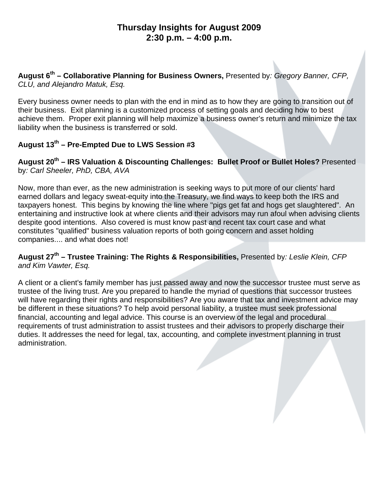## **Thursday Insights for August 2009 2:30 p.m. – 4:00 p.m.**

#### **August 6th – Collaborative Planning for Business Owners,** Presented by*: Gregory Banner, CFP, CLU, and Alejandro Matuk, Esq.*

Every business owner needs to plan with the end in mind as to how they are going to transition out of their business. Exit planning is a customized process of setting goals and deciding how to best achieve them. Proper exit planning will help maximize a business owner's return and minimize the tax liability when the business is transferred or sold.

### **August 13th – Pre-Empted Due to LWS Session #3**

**August 20th – IRS Valuation & Discounting Challenges: Bullet Proof or Bullet Holes?** Presented by*: Carl Sheeler, PhD, CBA, AVA*

Now, more than ever, as the new administration is seeking ways to put more of our clients' hard earned dollars and legacy sweat-equity into the Treasury, we find ways to keep both the IRS and taxpayers honest. This begins by knowing the line where "pigs get fat and hogs get slaughtered". An entertaining and instructive look at where clients and their advisors may run afoul when advising clients despite good intentions. Also covered is must know past and recent tax court case and what constitutes "qualified" business valuation reports of both going concern and asset holding companies.... and what does not!

### **August 27th – Trustee Training: The Rights & Responsibilities,** Presented by*: Leslie Klein, CFP and Kim Vawter, Esq.*

A client or a client's family member has just passed away and now the successor trustee must serve as trustee of the living trust. Are you prepared to handle the myriad of questions that successor trustees will have regarding their rights and responsibilities? Are you aware that tax and investment advice may be different in these situations? To help avoid personal liability, a trustee must seek professional financial, accounting and legal advice. This course is an overview of the legal and procedural requirements of trust administration to assist trustees and their advisors to properly discharge their duties. It addresses the need for legal, tax, accounting, and complete investment planning in trust administration.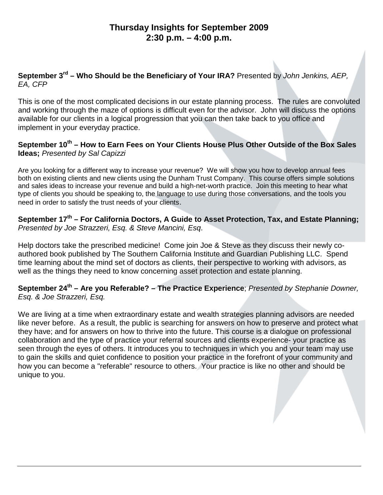## **Thursday Insights for September 2009 2:30 p.m. – 4:00 p.m.**

#### **September 3rd – Who Should be the Beneficiary of Your IRA?** Presented by *John Jenkins, AEP, EA, CFP*

This is one of the most complicated decisions in our estate planning process. The rules are convoluted and working through the maze of options is difficult even for the advisor. John will discuss the options available for our clients in a logical progression that you can then take back to you office and implement in your everyday practice.

#### **September 10th – How to Earn Fees on Your Clients House Plus Other Outside of the Box Sales Ideas;** *Presented by Sal Capizzi*

Are you looking for a different way to increase your revenue? We will show you how to develop annual fees both on existing clients and new clients using the Dunham Trust Company. This course offers simple solutions and sales ideas to increase your revenue and build a high-net-worth practice. Join this meeting to hear what type of clients you should be speaking to, the language to use during those conversations, and the tools you need in order to satisfy the trust needs of your clients.

**September 17th – For California Doctors, A Guide to Asset Protection, Tax, and Estate Planning;** *Presented by Joe Strazzeri, Esq. & Steve Mancini, Esq*.

Help doctors take the prescribed medicine! Come join Joe & Steve as they discuss their newly coauthored book published by The Southern California Institute and Guardian Publishing LLC. Spend time learning about the mind set of doctors as clients, their perspective to working with advisors, as well as the things they need to know concerning asset protection and estate planning.

#### **September 24th – Are you Referable? – The Practice Experience**; *Presented by Stephanie Downer, Esq. & Joe Strazzeri, Esq.*

We are living at a time when extraordinary estate and wealth strategies planning advisors are needed like never before. As a result, the public is searching for answers on how to preserve and protect what they have; and for answers on how to thrive into the future. This course is a dialogue on professional collaboration and the type of practice your referral sources and clients experience- your practice as seen through the eyes of others. It introduces you to techniques in which you and your team may use to gain the skills and quiet confidence to position your practice in the forefront of your community and how you can become a "referable" resource to others. Your practice is like no other and should be unique to you.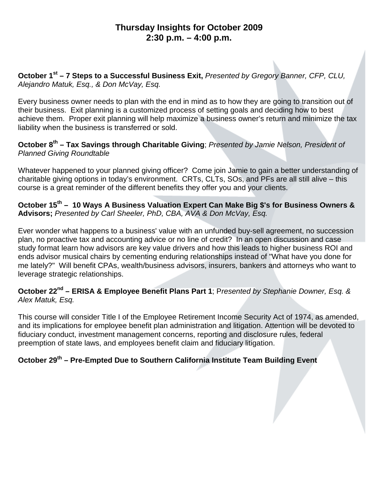## **Thursday Insights for October 2009 2:30 p.m. – 4:00 p.m.**

**October 1st – 7 Steps to a Successful Business Exit,** *Presented by Gregory Banner, CFP, CLU, Alejandro Matuk, Esq., & Don McVay, Esq.*

Every business owner needs to plan with the end in mind as to how they are going to transition out of their business. Exit planning is a customized process of setting goals and deciding how to best achieve them. Proper exit planning will help maximize a business owner's return and minimize the tax liability when the business is transferred or sold.

**October 8th – Tax Savings through Charitable Giving**; *Presented by Jamie Nelson, President of Planned Giving Roundtable*

Whatever happened to your planned giving officer? Come join Jamie to gain a better understanding of charitable giving options in today's environment. CRTs, CLTs, SOs, and PFs are all still alive – this course is a great reminder of the different benefits they offer you and your clients.

**October 15th – 10 Ways A Business Valuation Expert Can Make Big \$'s for Business Owners & Advisors;** *Presented by Carl Sheeler, PhD, CBA, AVA & Don McVay, Esq.*

Ever wonder what happens to a business' value with an unfunded buy-sell agreement, no succession plan, no proactive tax and accounting advice or no line of credit? In an open discussion and case study format learn how advisors are key value drivers and how this leads to higher business ROI and ends advisor musical chairs by cementing enduring relationships instead of "What have you done for me lately?" Will benefit CPAs, wealth/business advisors, insurers, bankers and attorneys who want to leverage strategic relationships.

**October 22nd – ERISA & Employee Benefit Plans Part 1**; P*resented by Stephanie Downer, Esq. & Alex Matuk, Esq.*

This course will consider Title I of the Employee Retirement Income Security Act of 1974, as amended, and its implications for employee benefit plan administration and litigation. Attention will be devoted to fiduciary conduct, investment management concerns, reporting and disclosure rules, federal preemption of state laws, and employees benefit claim and fiduciary litigation.

**October 29th – Pre-Empted Due to Southern California Institute Team Building Event**